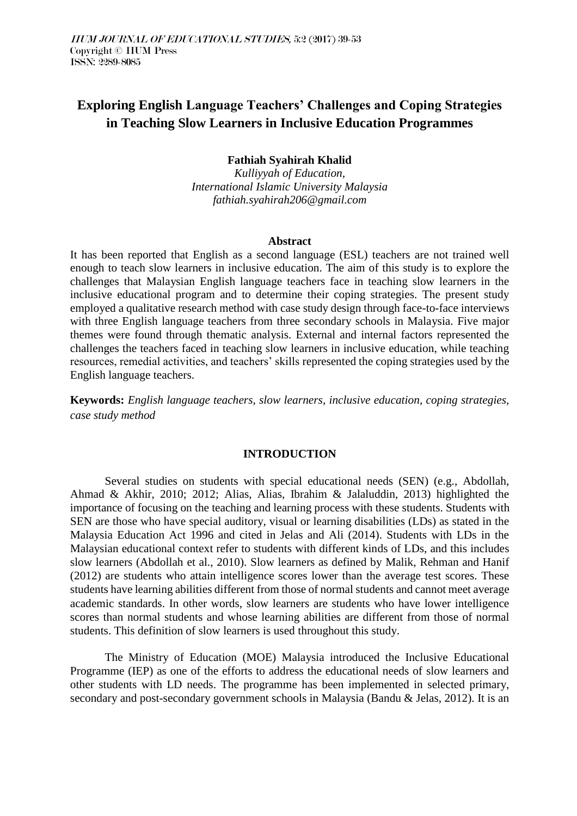# **Exploring English Language Teachers' Challenges and Coping Strategies in Teaching Slow Learners in Inclusive Education Programmes**

## **Fathiah Syahirah Khalid**

*Kulliyyah of Education, International Islamic University Malaysia fathiah.syahirah206@gmail.com*

#### **Abstract**

It has been reported that English as a second language (ESL) teachers are not trained well enough to teach slow learners in inclusive education. The aim of this study is to explore the challenges that Malaysian English language teachers face in teaching slow learners in the inclusive educational program and to determine their coping strategies. The present study employed a qualitative research method with case study design through face-to-face interviews with three English language teachers from three secondary schools in Malaysia. Five major themes were found through thematic analysis. External and internal factors represented the challenges the teachers faced in teaching slow learners in inclusive education, while teaching resources, remedial activities, and teachers' skills represented the coping strategies used by the English language teachers.

**Keywords:** *English language teachers, slow learners, inclusive education, coping strategies, case study method* 

#### **INTRODUCTION**

Several studies on students with special educational needs (SEN) (e.g., Abdollah, Ahmad & Akhir, 2010; 2012; Alias, Alias, Ibrahim & Jalaluddin, 2013) highlighted the importance of focusing on the teaching and learning process with these students. Students with SEN are those who have special auditory, visual or learning disabilities (LDs) as stated in the Malaysia Education Act 1996 and cited in Jelas and Ali (2014). Students with LDs in the Malaysian educational context refer to students with different kinds of LDs, and this includes slow learners (Abdollah et al., 2010). Slow learners as defined by Malik, Rehman and Hanif (2012) are students who attain intelligence scores lower than the average test scores. These students have learning abilities different from those of normal students and cannot meet average academic standards. In other words, slow learners are students who have lower intelligence scores than normal students and whose learning abilities are different from those of normal students. This definition of slow learners is used throughout this study.

The Ministry of Education (MOE) Malaysia introduced the Inclusive Educational Programme (IEP) as one of the efforts to address the educational needs of slow learners and other students with LD needs. The programme has been implemented in selected primary, secondary and post-secondary government schools in Malaysia (Bandu & Jelas, 2012). It is an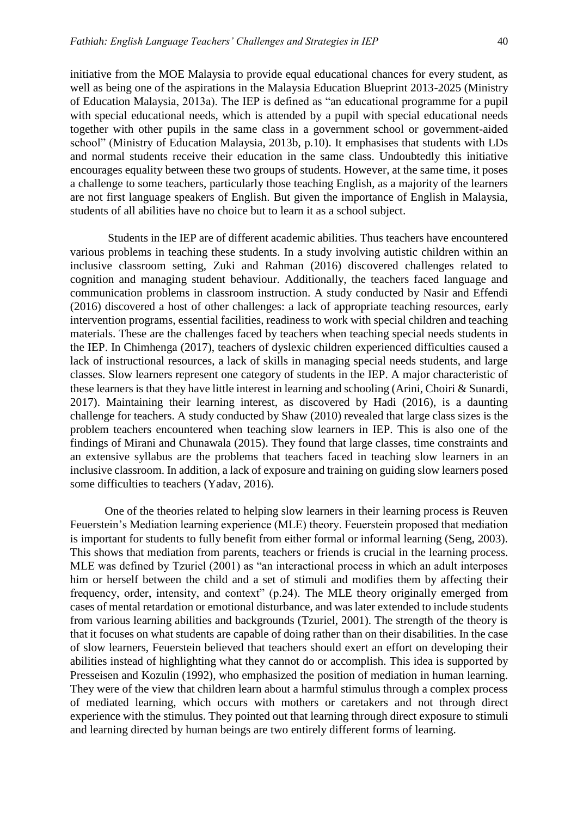initiative from the MOE Malaysia to provide equal educational chances for every student, as well as being one of the aspirations in the Malaysia Education Blueprint 2013-2025 (Ministry of Education Malaysia, 2013a). The IEP is defined as "an educational programme for a pupil with special educational needs, which is attended by a pupil with special educational needs together with other pupils in the same class in a government school or government-aided school" (Ministry of Education Malaysia, 2013b, p.10). It emphasises that students with LDs and normal students receive their education in the same class. Undoubtedly this initiative encourages equality between these two groups of students. However, at the same time, it poses a challenge to some teachers, particularly those teaching English, as a majority of the learners are not first language speakers of English. But given the importance of English in Malaysia, students of all abilities have no choice but to learn it as a school subject.

Students in the IEP are of different academic abilities. Thus teachers have encountered various problems in teaching these students. In a study involving autistic children within an inclusive classroom setting, Zuki and Rahman (2016) discovered challenges related to cognition and managing student behaviour. Additionally, the teachers faced language and communication problems in classroom instruction. A study conducted by Nasir and Effendi (2016) discovered a host of other challenges: a lack of appropriate teaching resources, early intervention programs, essential facilities, readiness to work with special children and teaching materials. These are the challenges faced by teachers when teaching special needs students in the IEP. In Chimhenga (2017), teachers of dyslexic children experienced difficulties caused a lack of instructional resources, a lack of skills in managing special needs students, and large classes. Slow learners represent one category of students in the IEP. A major characteristic of these learners is that they have little interest in learning and schooling (Arini, Choiri & Sunardi, 2017). Maintaining their learning interest, as discovered by Hadi (2016), is a daunting challenge for teachers. A study conducted by Shaw (2010) revealed that large class sizes is the problem teachers encountered when teaching slow learners in IEP. This is also one of the findings of Mirani and Chunawala (2015). They found that large classes, time constraints and an extensive syllabus are the problems that teachers faced in teaching slow learners in an inclusive classroom. In addition, a lack of exposure and training on guiding slow learners posed some difficulties to teachers (Yadav, 2016).

One of the theories related to helping slow learners in their learning process is Reuven Feuerstein's Mediation learning experience (MLE) theory. Feuerstein proposed that mediation is important for students to fully benefit from either formal or informal learning (Seng, 2003). This shows that mediation from parents, teachers or friends is crucial in the learning process. MLE was defined by Tzuriel (2001) as "an interactional process in which an adult interposes him or herself between the child and a set of stimuli and modifies them by affecting their frequency, order, intensity, and context" (p.24). The MLE theory originally emerged from cases of mental retardation or emotional disturbance, and was later extended to include students from various learning abilities and backgrounds (Tzuriel, 2001). The strength of the theory is that it focuses on what students are capable of doing rather than on their disabilities. In the case of slow learners, Feuerstein believed that teachers should exert an effort on developing their abilities instead of highlighting what they cannot do or accomplish. This idea is supported by Presseisen and Kozulin (1992), who emphasized the position of mediation in human learning. They were of the view that children learn about a harmful stimulus through a complex process of mediated learning, which occurs with mothers or caretakers and not through direct experience with the stimulus. They pointed out that learning through direct exposure to stimuli and learning directed by human beings are two entirely different forms of learning.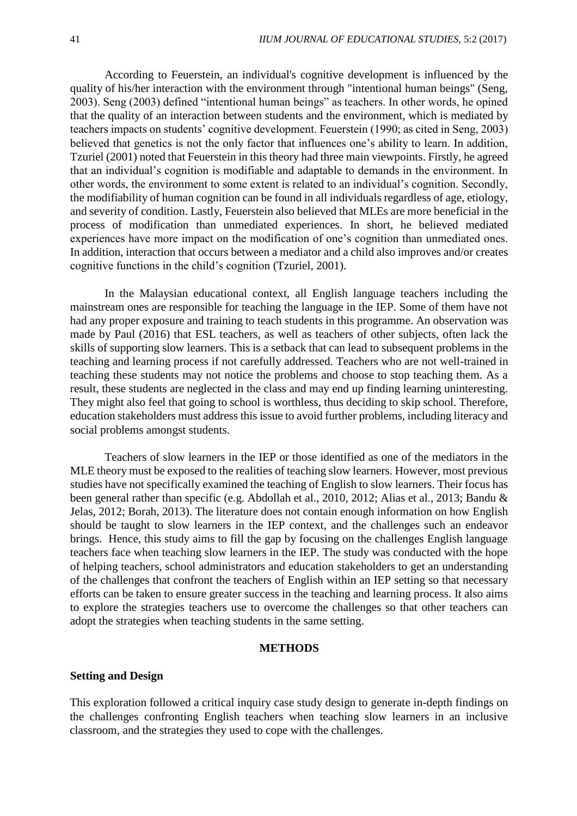According to Feuerstein, an individual's cognitive development is influenced by the quality of his/her interaction with the environment through "intentional human beings" (Seng, 2003). Seng (2003) defined "intentional human beings" as teachers. In other words, he opined that the quality of an interaction between students and the environment, which is mediated by teachers impacts on students' cognitive development. Feuerstein (1990; as cited in Seng, 2003) believed that genetics is not the only factor that influences one's ability to learn. In addition, Tzuriel (2001) noted that Feuerstein in this theory had three main viewpoints. Firstly, he agreed that an individual's cognition is modifiable and adaptable to demands in the environment. In other words, the environment to some extent is related to an individual's cognition. Secondly, the modifiability of human cognition can be found in all individuals regardless of age, etiology, and severity of condition. Lastly, Feuerstein also believed that MLEs are more beneficial in the process of modification than unmediated experiences. In short, he believed mediated experiences have more impact on the modification of one's cognition than unmediated ones. In addition, interaction that occurs between a mediator and a child also improves and/or creates cognitive functions in the child's cognition (Tzuriel, 2001).

In the Malaysian educational context, all English language teachers including the mainstream ones are responsible for teaching the language in the IEP. Some of them have not had any proper exposure and training to teach students in this programme. An observation was made by Paul (2016) that ESL teachers, as well as teachers of other subjects, often lack the skills of supporting slow learners. This is a setback that can lead to subsequent problems in the teaching and learning process if not carefully addressed. Teachers who are not well-trained in teaching these students may not notice the problems and choose to stop teaching them. As a result, these students are neglected in the class and may end up finding learning uninteresting. They might also feel that going to school is worthless, thus deciding to skip school. Therefore, education stakeholders must address this issue to avoid further problems, including literacy and social problems amongst students.

Teachers of slow learners in the IEP or those identified as one of the mediators in the MLE theory must be exposed to the realities of teaching slow learners. However, most previous studies have not specifically examined the teaching of English to slow learners. Their focus has been general rather than specific (e.g. Abdollah et al., 2010, 2012; Alias et al., 2013; Bandu & Jelas, 2012; Borah, 2013). The literature does not contain enough information on how English should be taught to slow learners in the IEP context, and the challenges such an endeavor brings. Hence, this study aims to fill the gap by focusing on the challenges English language teachers face when teaching slow learners in the IEP. The study was conducted with the hope of helping teachers, school administrators and education stakeholders to get an understanding of the challenges that confront the teachers of English within an IEP setting so that necessary efforts can be taken to ensure greater success in the teaching and learning process. It also aims to explore the strategies teachers use to overcome the challenges so that other teachers can adopt the strategies when teaching students in the same setting.

#### **METHODS**

## **Setting and Design**

This exploration followed a critical inquiry case study design to generate in-depth findings on the challenges confronting English teachers when teaching slow learners in an inclusive classroom, and the strategies they used to cope with the challenges.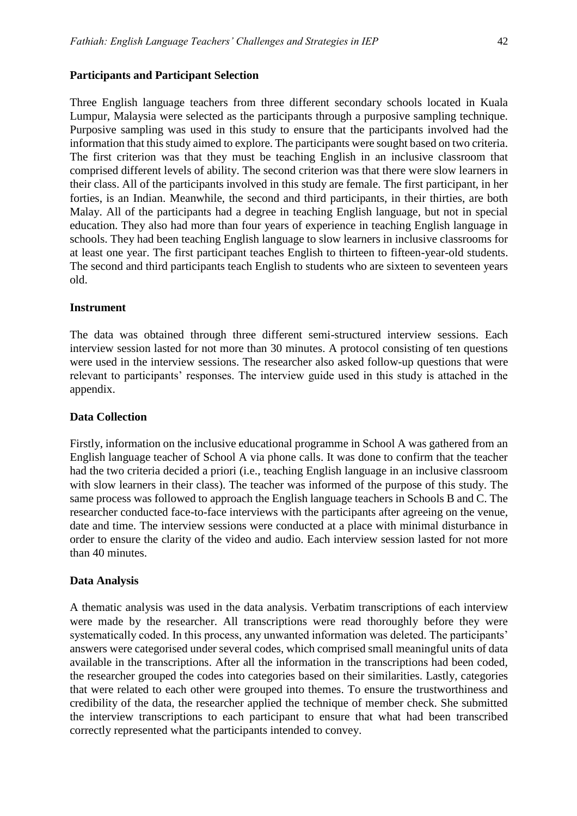## **Participants and Participant Selection**

Three English language teachers from three different secondary schools located in Kuala Lumpur, Malaysia were selected as the participants through a purposive sampling technique. Purposive sampling was used in this study to ensure that the participants involved had the information that this study aimed to explore. The participants were sought based on two criteria. The first criterion was that they must be teaching English in an inclusive classroom that comprised different levels of ability. The second criterion was that there were slow learners in their class. All of the participants involved in this study are female. The first participant, in her forties, is an Indian. Meanwhile, the second and third participants, in their thirties, are both Malay. All of the participants had a degree in teaching English language, but not in special education. They also had more than four years of experience in teaching English language in schools. They had been teaching English language to slow learners in inclusive classrooms for at least one year. The first participant teaches English to thirteen to fifteen-year-old students. The second and third participants teach English to students who are sixteen to seventeen years old.

#### **Instrument**

The data was obtained through three different semi-structured interview sessions. Each interview session lasted for not more than 30 minutes. A protocol consisting of ten questions were used in the interview sessions. The researcher also asked follow-up questions that were relevant to participants' responses. The interview guide used in this study is attached in the appendix.

#### **Data Collection**

Firstly, information on the inclusive educational programme in School A was gathered from an English language teacher of School A via phone calls. It was done to confirm that the teacher had the two criteria decided a priori (i.e., teaching English language in an inclusive classroom with slow learners in their class). The teacher was informed of the purpose of this study. The same process was followed to approach the English language teachers in Schools B and C. The researcher conducted face-to-face interviews with the participants after agreeing on the venue, date and time. The interview sessions were conducted at a place with minimal disturbance in order to ensure the clarity of the video and audio. Each interview session lasted for not more than 40 minutes.

#### **Data Analysis**

A thematic analysis was used in the data analysis. Verbatim transcriptions of each interview were made by the researcher. All transcriptions were read thoroughly before they were systematically coded. In this process, any unwanted information was deleted. The participants' answers were categorised under several codes, which comprised small meaningful units of data available in the transcriptions. After all the information in the transcriptions had been coded, the researcher grouped the codes into categories based on their similarities. Lastly, categories that were related to each other were grouped into themes. To ensure the trustworthiness and credibility of the data, the researcher applied the technique of member check. She submitted the interview transcriptions to each participant to ensure that what had been transcribed correctly represented what the participants intended to convey.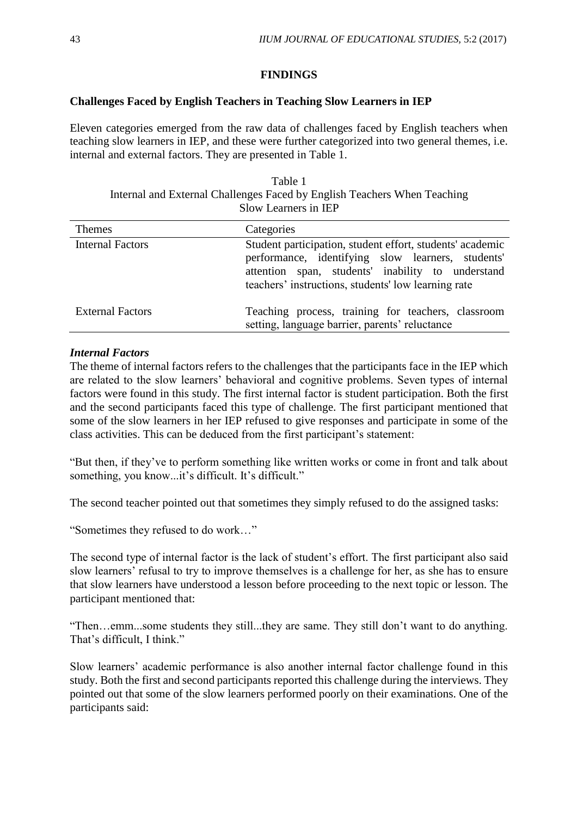## **FINDINGS**

## **Challenges Faced by English Teachers in Teaching Slow Learners in IEP**

Eleven categories emerged from the raw data of challenges faced by English teachers when teaching slow learners in IEP, and these were further categorized into two general themes, i.e. internal and external factors. They are presented in Table 1.

| Table 1                                                                  |  |
|--------------------------------------------------------------------------|--|
| Internal and External Challenges Faced by English Teachers When Teaching |  |
| Slow Learners in IEP                                                     |  |

| <b>Themes</b>           | Categories                                                                                                                                                                                                                 |
|-------------------------|----------------------------------------------------------------------------------------------------------------------------------------------------------------------------------------------------------------------------|
| <b>Internal Factors</b> | Student participation, student effort, students' academic<br>performance, identifying slow learners, students'<br>attention span, students' inability to understand<br>teachers' instructions, students' low learning rate |
| <b>External Factors</b> | Teaching process, training for teachers, classroom<br>setting, language barrier, parents' reluctance                                                                                                                       |

#### *Internal Factors*

The theme of internal factors refers to the challenges that the participants face in the IEP which are related to the slow learners' behavioral and cognitive problems. Seven types of internal factors were found in this study. The first internal factor is student participation. Both the first and the second participants faced this type of challenge. The first participant mentioned that some of the slow learners in her IEP refused to give responses and participate in some of the class activities. This can be deduced from the first participant's statement:

"But then, if they've to perform something like written works or come in front and talk about something, you know...it's difficult. It's difficult."

The second teacher pointed out that sometimes they simply refused to do the assigned tasks:

"Sometimes they refused to do work…"

The second type of internal factor is the lack of student's effort. The first participant also said slow learners' refusal to try to improve themselves is a challenge for her, as she has to ensure that slow learners have understood a lesson before proceeding to the next topic or lesson. The participant mentioned that:

"Then…emm...some students they still...they are same. They still don't want to do anything. That's difficult, I think."

Slow learners' academic performance is also another internal factor challenge found in this study. Both the first and second participants reported this challenge during the interviews. They pointed out that some of the slow learners performed poorly on their examinations. One of the participants said: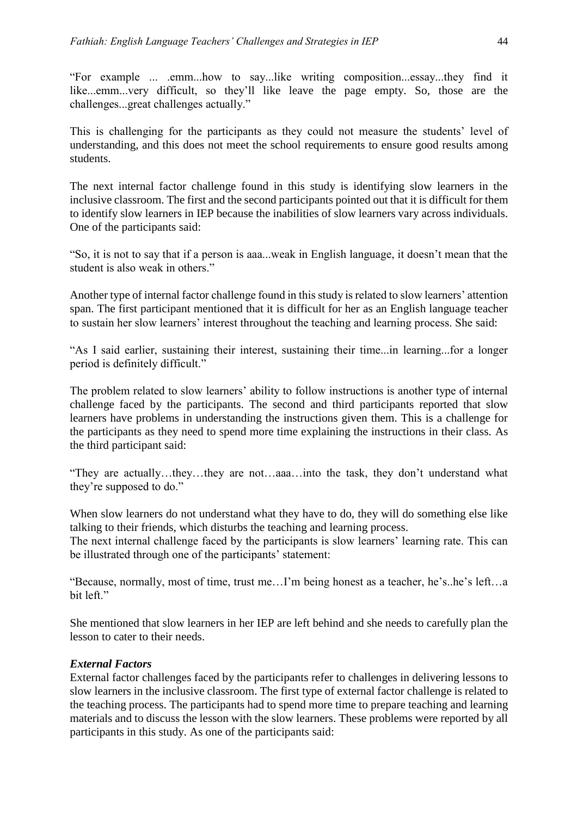"For example ... .emm...how to say...like writing composition...essay...they find it like...emm...very difficult, so they'll like leave the page empty. So, those are the challenges...great challenges actually."

This is challenging for the participants as they could not measure the students' level of understanding, and this does not meet the school requirements to ensure good results among students.

The next internal factor challenge found in this study is identifying slow learners in the inclusive classroom. The first and the second participants pointed out that it is difficult for them to identify slow learners in IEP because the inabilities of slow learners vary across individuals. One of the participants said:

"So, it is not to say that if a person is aaa...weak in English language, it doesn't mean that the student is also weak in others."

Another type of internal factor challenge found in this study is related to slow learners' attention span. The first participant mentioned that it is difficult for her as an English language teacher to sustain her slow learners' interest throughout the teaching and learning process. She said:

"As I said earlier, sustaining their interest, sustaining their time...in learning...for a longer period is definitely difficult."

The problem related to slow learners' ability to follow instructions is another type of internal challenge faced by the participants. The second and third participants reported that slow learners have problems in understanding the instructions given them. This is a challenge for the participants as they need to spend more time explaining the instructions in their class. As the third participant said:

"They are actually…they…they are not…aaa…into the task, they don't understand what they're supposed to do."

When slow learners do not understand what they have to do, they will do something else like talking to their friends, which disturbs the teaching and learning process.

The next internal challenge faced by the participants is slow learners' learning rate. This can be illustrated through one of the participants' statement:

"Because, normally, most of time, trust me…I'm being honest as a teacher, he's..he's left…a bit left."

She mentioned that slow learners in her IEP are left behind and she needs to carefully plan the lesson to cater to their needs.

# *External Factors*

External factor challenges faced by the participants refer to challenges in delivering lessons to slow learners in the inclusive classroom. The first type of external factor challenge is related to the teaching process. The participants had to spend more time to prepare teaching and learning materials and to discuss the lesson with the slow learners. These problems were reported by all participants in this study. As one of the participants said: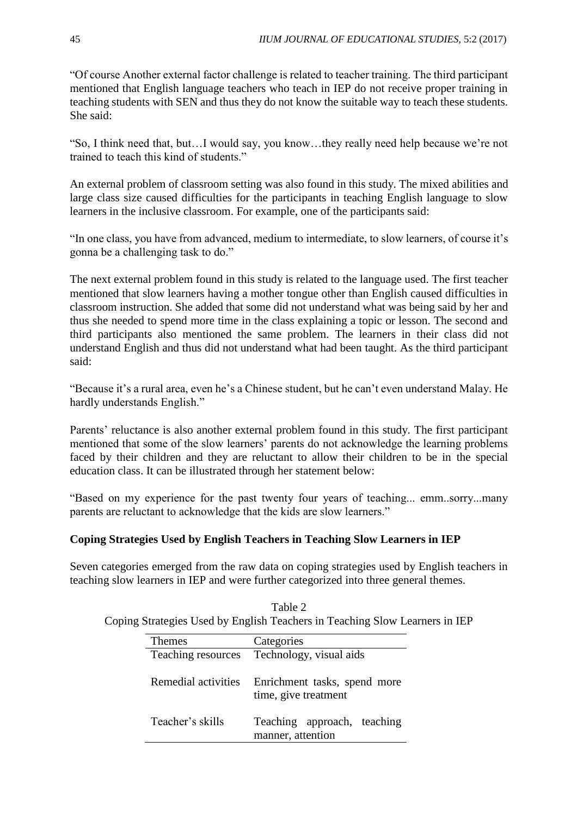"Of course Another external factor challenge is related to teacher training. The third participant mentioned that English language teachers who teach in IEP do not receive proper training in teaching students with SEN and thus they do not know the suitable way to teach these students. She said:

"So, I think need that, but…I would say, you know…they really need help because we're not trained to teach this kind of students."

An external problem of classroom setting was also found in this study. The mixed abilities and large class size caused difficulties for the participants in teaching English language to slow learners in the inclusive classroom. For example, one of the participants said:

"In one class, you have from advanced, medium to intermediate, to slow learners, of course it's gonna be a challenging task to do."

The next external problem found in this study is related to the language used. The first teacher mentioned that slow learners having a mother tongue other than English caused difficulties in classroom instruction. She added that some did not understand what was being said by her and thus she needed to spend more time in the class explaining a topic or lesson. The second and third participants also mentioned the same problem. The learners in their class did not understand English and thus did not understand what had been taught. As the third participant said:

"Because it's a rural area, even he's a Chinese student, but he can't even understand Malay. He hardly understands English."

Parents' reluctance is also another external problem found in this study. The first participant mentioned that some of the slow learners' parents do not acknowledge the learning problems faced by their children and they are reluctant to allow their children to be in the special education class. It can be illustrated through her statement below:

"Based on my experience for the past twenty four years of teaching... emm..sorry...many parents are reluctant to acknowledge that the kids are slow learners."

# **Coping Strategies Used by English Teachers in Teaching Slow Learners in IEP**

Seven categories emerged from the raw data on coping strategies used by English teachers in teaching slow learners in IEP and were further categorized into three general themes.

| Themes              | Categories                                           |
|---------------------|------------------------------------------------------|
| Teaching resources  | Technology, visual aids                              |
| Remedial activities | Enrichment tasks, spend more<br>time, give treatment |
| Teacher's skills    | Teaching approach, teaching<br>manner, attention     |

Table 2 Coping Strategies Used by English Teachers in Teaching Slow Learners in IEP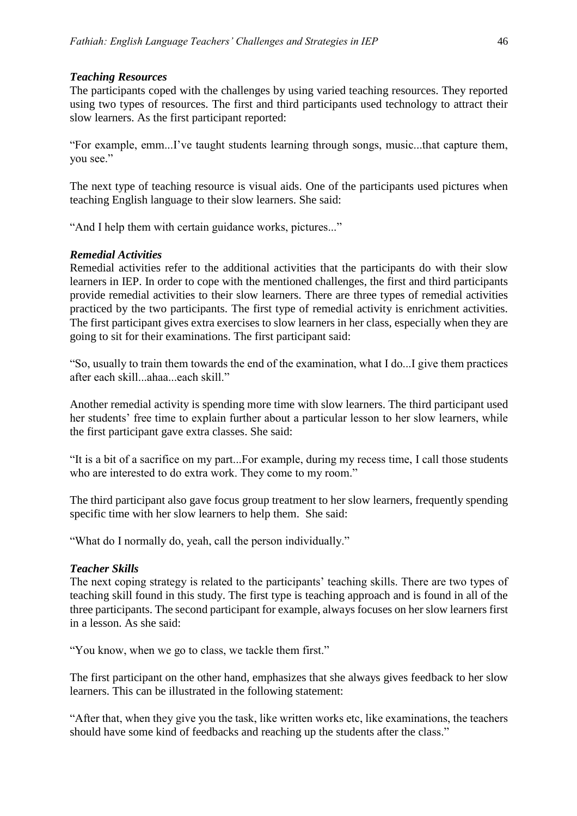#### *Teaching Resources*

The participants coped with the challenges by using varied teaching resources. They reported using two types of resources. The first and third participants used technology to attract their slow learners. As the first participant reported:

"For example, emm...I've taught students learning through songs, music...that capture them, you see."

The next type of teaching resource is visual aids. One of the participants used pictures when teaching English language to their slow learners. She said:

"And I help them with certain guidance works, pictures..."

#### *Remedial Activities*

Remedial activities refer to the additional activities that the participants do with their slow learners in IEP. In order to cope with the mentioned challenges, the first and third participants provide remedial activities to their slow learners. There are three types of remedial activities practiced by the two participants. The first type of remedial activity is enrichment activities. The first participant gives extra exercises to slow learners in her class, especially when they are going to sit for their examinations. The first participant said:

"So, usually to train them towards the end of the examination, what I do...I give them practices after each skill...ahaa...each skill."

Another remedial activity is spending more time with slow learners. The third participant used her students' free time to explain further about a particular lesson to her slow learners, while the first participant gave extra classes. She said:

"It is a bit of a sacrifice on my part...For example, during my recess time, I call those students who are interested to do extra work. They come to my room."

The third participant also gave focus group treatment to her slow learners, frequently spending specific time with her slow learners to help them. She said:

"What do I normally do, yeah, call the person individually."

#### *Teacher Skills*

The next coping strategy is related to the participants' teaching skills. There are two types of teaching skill found in this study. The first type is teaching approach and is found in all of the three participants. The second participant for example, always focuses on her slow learners first in a lesson. As she said:

"You know, when we go to class, we tackle them first."

The first participant on the other hand, emphasizes that she always gives feedback to her slow learners. This can be illustrated in the following statement:

"After that, when they give you the task, like written works etc, like examinations, the teachers should have some kind of feedbacks and reaching up the students after the class."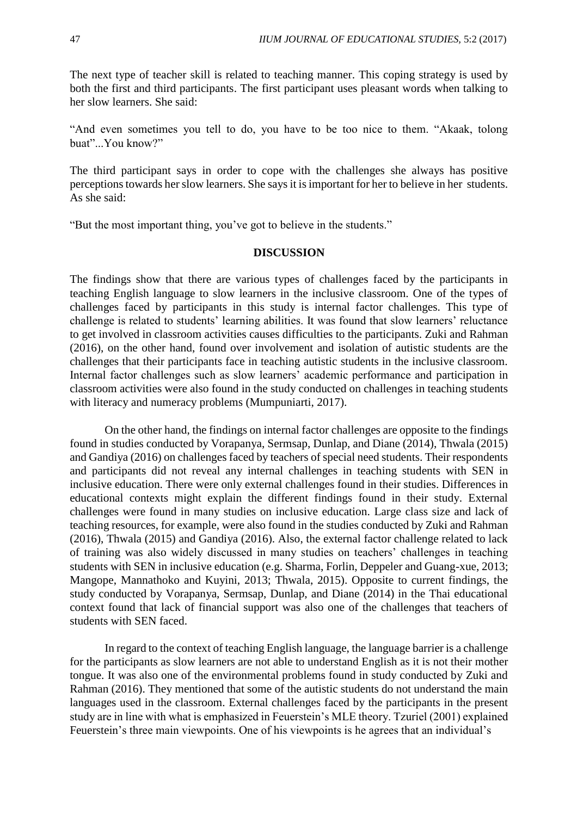The next type of teacher skill is related to teaching manner. This coping strategy is used by both the first and third participants. The first participant uses pleasant words when talking to her slow learners. She said:

"And even sometimes you tell to do, you have to be too nice to them. "Akaak, tolong buat"...You know?"

The third participant says in order to cope with the challenges she always has positive perceptions towards her slow learners. She says it is important for her to believe in her students. As she said:

"But the most important thing, you've got to believe in the students."

## **DISCUSSION**

The findings show that there are various types of challenges faced by the participants in teaching English language to slow learners in the inclusive classroom. One of the types of challenges faced by participants in this study is internal factor challenges. This type of challenge is related to students' learning abilities. It was found that slow learners' reluctance to get involved in classroom activities causes difficulties to the participants. Zuki and Rahman (2016), on the other hand, found over involvement and isolation of autistic students are the challenges that their participants face in teaching autistic students in the inclusive classroom. Internal factor challenges such as slow learners' academic performance and participation in classroom activities were also found in the study conducted on challenges in teaching students with literacy and numeracy problems (Mumpuniarti, 2017).

On the other hand, the findings on internal factor challenges are opposite to the findings found in studies conducted by Vorapanya, Sermsap, Dunlap, and Diane (2014), Thwala (2015) and Gandiya (2016) on challenges faced by teachers of special need students. Their respondents and participants did not reveal any internal challenges in teaching students with SEN in inclusive education. There were only external challenges found in their studies. Differences in educational contexts might explain the different findings found in their study. External challenges were found in many studies on inclusive education. Large class size and lack of teaching resources, for example, were also found in the studies conducted by Zuki and Rahman (2016), Thwala (2015) and Gandiya (2016). Also, the external factor challenge related to lack of training was also widely discussed in many studies on teachers' challenges in teaching students with SEN in inclusive education (e.g. Sharma, Forlin, Deppeler and Guang-xue, 2013; Mangope, Mannathoko and Kuyini, 2013; Thwala, 2015). Opposite to current findings, the study conducted by Vorapanya, Sermsap, Dunlap, and Diane (2014) in the Thai educational context found that lack of financial support was also one of the challenges that teachers of students with SEN faced.

In regard to the context of teaching English language, the language barrier is a challenge for the participants as slow learners are not able to understand English as it is not their mother tongue. It was also one of the environmental problems found in study conducted by Zuki and Rahman (2016). They mentioned that some of the autistic students do not understand the main languages used in the classroom. External challenges faced by the participants in the present study are in line with what is emphasized in Feuerstein's MLE theory. Tzuriel (2001) explained Feuerstein's three main viewpoints. One of his viewpoints is he agrees that an individual's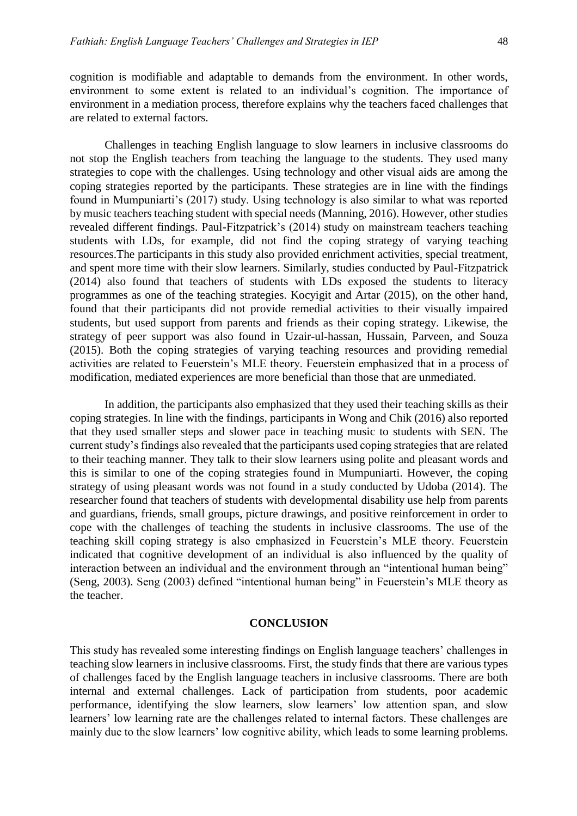cognition is modifiable and adaptable to demands from the environment. In other words, environment to some extent is related to an individual's cognition. The importance of environment in a mediation process, therefore explains why the teachers faced challenges that are related to external factors.

Challenges in teaching English language to slow learners in inclusive classrooms do not stop the English teachers from teaching the language to the students. They used many strategies to cope with the challenges. Using technology and other visual aids are among the coping strategies reported by the participants. These strategies are in line with the findings found in Mumpuniarti's (2017) study. Using technology is also similar to what was reported by music teachers teaching student with special needs (Manning, 2016). However, other studies revealed different findings. Paul-Fitzpatrick's (2014) study on mainstream teachers teaching students with LDs, for example, did not find the coping strategy of varying teaching resources.The participants in this study also provided enrichment activities, special treatment, and spent more time with their slow learners. Similarly, studies conducted by Paul-Fitzpatrick (2014) also found that teachers of students with LDs exposed the students to literacy programmes as one of the teaching strategies. Kocyigit and Artar (2015), on the other hand, found that their participants did not provide remedial activities to their visually impaired students, but used support from parents and friends as their coping strategy. Likewise, the strategy of peer support was also found in Uzair-ul-hassan, Hussain, Parveen, and Souza (2015). Both the coping strategies of varying teaching resources and providing remedial activities are related to Feuerstein's MLE theory. Feuerstein emphasized that in a process of modification, mediated experiences are more beneficial than those that are unmediated.

In addition, the participants also emphasized that they used their teaching skills as their coping strategies. In line with the findings, participants in Wong and Chik (2016) also reported that they used smaller steps and slower pace in teaching music to students with SEN. The current study's findings also revealed that the participants used coping strategies that are related to their teaching manner. They talk to their slow learners using polite and pleasant words and this is similar to one of the coping strategies found in Mumpuniarti. However, the coping strategy of using pleasant words was not found in a study conducted by Udoba (2014). The researcher found that teachers of students with developmental disability use help from parents and guardians, friends, small groups, picture drawings, and positive reinforcement in order to cope with the challenges of teaching the students in inclusive classrooms. The use of the teaching skill coping strategy is also emphasized in Feuerstein's MLE theory. Feuerstein indicated that cognitive development of an individual is also influenced by the quality of interaction between an individual and the environment through an "intentional human being" (Seng, 2003). Seng (2003) defined "intentional human being" in Feuerstein's MLE theory as the teacher.

#### **CONCLUSION**

This study has revealed some interesting findings on English language teachers' challenges in teaching slow learners in inclusive classrooms. First, the study finds that there are various types of challenges faced by the English language teachers in inclusive classrooms. There are both internal and external challenges. Lack of participation from students, poor academic performance, identifying the slow learners, slow learners' low attention span, and slow learners' low learning rate are the challenges related to internal factors. These challenges are mainly due to the slow learners' low cognitive ability, which leads to some learning problems.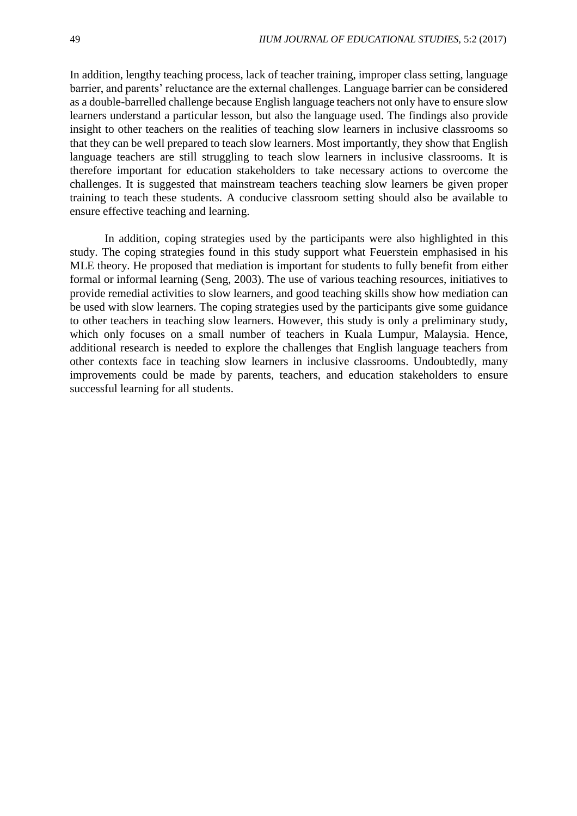In addition, lengthy teaching process, lack of teacher training, improper class setting, language barrier, and parents' reluctance are the external challenges. Language barrier can be considered as a double-barrelled challenge because English language teachers not only have to ensure slow learners understand a particular lesson, but also the language used. The findings also provide insight to other teachers on the realities of teaching slow learners in inclusive classrooms so that they can be well prepared to teach slow learners. Most importantly, they show that English language teachers are still struggling to teach slow learners in inclusive classrooms. It is therefore important for education stakeholders to take necessary actions to overcome the challenges. It is suggested that mainstream teachers teaching slow learners be given proper training to teach these students. A conducive classroom setting should also be available to ensure effective teaching and learning.

In addition, coping strategies used by the participants were also highlighted in this study. The coping strategies found in this study support what Feuerstein emphasised in his MLE theory. He proposed that mediation is important for students to fully benefit from either formal or informal learning (Seng, 2003). The use of various teaching resources, initiatives to provide remedial activities to slow learners, and good teaching skills show how mediation can be used with slow learners. The coping strategies used by the participants give some guidance to other teachers in teaching slow learners. However, this study is only a preliminary study, which only focuses on a small number of teachers in Kuala Lumpur, Malaysia. Hence, additional research is needed to explore the challenges that English language teachers from other contexts face in teaching slow learners in inclusive classrooms. Undoubtedly, many improvements could be made by parents, teachers, and education stakeholders to ensure successful learning for all students.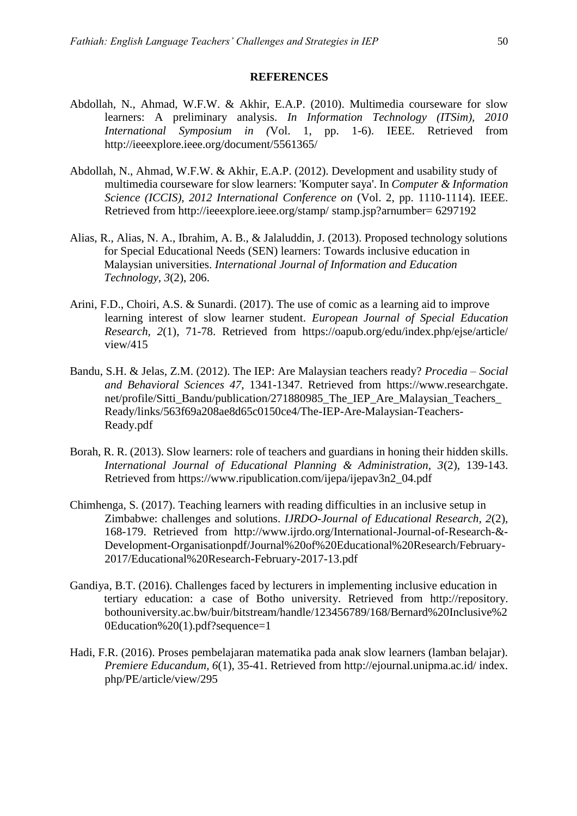#### **REFERENCES**

- Abdollah, N., Ahmad, W.F.W. & Akhir, E.A.P. (2010). Multimedia courseware for slow learners: A preliminary analysis. *In Information Technology (ITSim), 2010 International Symposium in (*Vol. 1, pp. 1-6). IEEE. Retrieved from http://ieeexplore.ieee.org/document/5561365/
- Abdollah, N., Ahmad, W.F.W. & Akhir, E.A.P. (2012). Development and usability study of multimedia courseware for slow learners: 'Komputer saya'. In *Computer & Information Science (ICCIS), 2012 International Conference on* (Vol. 2, pp. 1110-1114). IEEE. Retrieved from http://ieeexplore.ieee.org/stamp/ stamp.jsp?arnumber= 6297192
- Alias, R., Alias, N. A., Ibrahim, A. B., & Jalaluddin, J. (2013). Proposed technology solutions for Special Educational Needs (SEN) learners: Towards inclusive education in Malaysian universities. *International Journal of Information and Education Technology, 3*(2), 206.
- Arini, F.D., Choiri, A.S. & Sunardi. (2017). The use of comic as a learning aid to improve learning interest of slow learner student. *European Journal of Special Education Research, 2*(1), 71-78. Retrieved from https://oapub.org/edu/index.php/ejse/article/ view/415
- Bandu, S.H. & Jelas, Z.M. (2012). The IEP: Are Malaysian teachers ready? *Procedia – Social and Behavioral Sciences 47*, 1341-1347. Retrieved from https://www.researchgate. net/profile/Sitti\_Bandu/publication/271880985\_The\_IEP\_Are\_Malaysian\_Teachers\_ Ready/links/563f69a208ae8d65c0150ce4/The-IEP-Are-Malaysian-Teachers-Ready.pdf
- Borah, R. R. (2013). Slow learners: role of teachers and guardians in honing their hidden skills. *International Journal of Educational Planning & Administration, 3*(2), 139-143. Retrieved from https://www.ripublication.com/ijepa/ijepav3n2\_04.pdf
- Chimhenga, S. (2017). Teaching learners with reading difficulties in an inclusive setup in Zimbabwe: challenges and solutions. *IJRDO-Journal of Educational Research, 2*(2), 168-179. Retrieved from http://www.ijrdo.org/International-Journal-of-Research-&- Development-Organisationpdf/Journal%20of%20Educational%20Research/February-2017/Educational%20Research-February-2017-13.pdf
- Gandiya, B.T. (2016). Challenges faced by lecturers in implementing inclusive education in tertiary education: a case of Botho university. Retrieved from http://repository. bothouniversity.ac.bw/buir/bitstream/handle/123456789/168/Bernard%20Inclusive%2 0Education%20(1).pdf?sequence=1
- Hadi, F.R. (2016). Proses pembelajaran matematika pada anak slow learners (lamban belajar). *Premiere Educandum, 6*(1), 35-41. Retrieved from http://ejournal.unipma.ac.id/ index. php/PE/article/view/295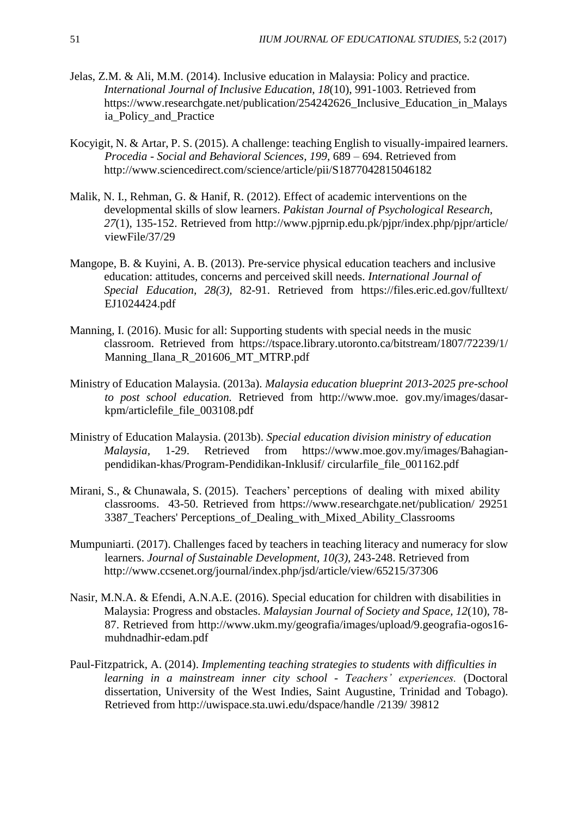- Jelas, Z.M. & Ali, M.M. (2014). Inclusive education in Malaysia: Policy and practice. *International Journal of Inclusive Education, 18*(10), 991-1003. Retrieved from https://www.researchgate.net/publication/254242626 Inclusive Education in Malays ia\_Policy\_and\_Practice
- Kocyigit, N. & Artar, P. S. (2015). A challenge: teaching English to visually-impaired learners. *Procedia - Social and Behavioral Sciences, 199,* 689 – 694. Retrieved from http://www.sciencedirect.com/science/article/pii/S1877042815046182
- Malik, N. I., Rehman, G. & Hanif, R. (2012). Effect of academic interventions on the developmental skills of slow learners. *Pakistan Journal of Psychological Research, 27*(1), 135-152. Retrieved from http://www.pjprnip.edu.pk/pjpr/index.php/pjpr/article/ viewFile/37/29
- Mangope, B. & Kuyini, A. B. (2013). Pre-service physical education teachers and inclusive education: attitudes, concerns and perceived skill needs. *International Journal of Special Education, 28(3),* 82-91. Retrieved from https://files.eric.ed.gov/fulltext/ EJ1024424.pdf
- Manning, I. (2016). Music for all: Supporting students with special needs in the music classroom. Retrieved from https://tspace.library.utoronto.ca/bitstream/1807/72239/1/ Manning\_Ilana\_R\_201606\_MT\_MTRP.pdf
- Ministry of Education Malaysia. (2013a). *Malaysia education blueprint 2013-2025 pre-school to post school education.* Retrieved from http://www.moe. gov.my/images/dasarkpm/articlefile\_file\_003108.pdf
- Ministry of Education Malaysia. (2013b). *Special education division ministry of education Malaysia,* 1-29. Retrieved from https://www.moe.gov.my/images/Bahagianpendidikan-khas/Program-Pendidikan-Inklusif/ circularfile\_file\_001162.pdf
- Mirani, S., & Chunawala, S. (2015). Teachers' perceptions of dealing with mixed ability classrooms. 43-50. Retrieved from https://www.researchgate.net/publication/ 29251 3387\_Teachers' Perceptions\_of\_Dealing\_with\_Mixed\_Ability\_Classrooms
- Mumpuniarti. (2017). Challenges faced by teachers in teaching literacy and numeracy for slow learners. *Journal of Sustainable Development, 10(3),* 243-248. Retrieved from http://www.ccsenet.org/journal/index.php/jsd/article/view/65215/37306
- Nasir, M.N.A. & Efendi, A.N.A.E. (2016). Special education for children with disabilities in Malaysia: Progress and obstacles. *Malaysian Journal of Society and Space, 12*(10), 78- 87. Retrieved from http://www.ukm.my/geografia/images/upload/9.geografia-ogos16 muhdnadhir-edam.pdf
- Paul-Fitzpatrick, A. (2014). *Implementing teaching strategies to students with difficulties in learning in a mainstream inner city school - Teachers' experiences.* (Doctoral dissertation, University of the West Indies, Saint Augustine, Trinidad and Tobago). Retrieved from http://uwispace.sta.uwi.edu/dspace/handle /2139/ 39812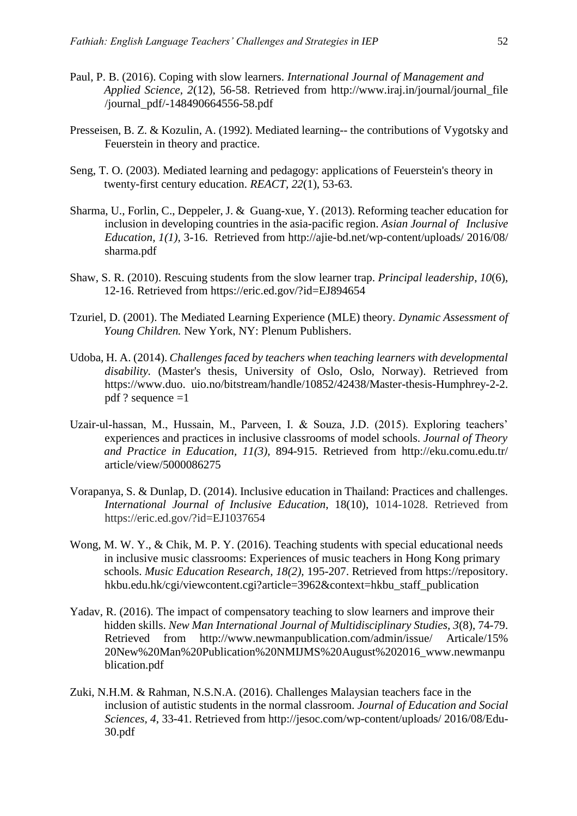- Paul, P. B. (2016). Coping with slow learners. *International Journal of Management and Applied Science, 2*(12), 56-58. Retrieved from http://www.iraj.in/journal/journal\_file /journal\_pdf/-148490664556-58.pdf
- Presseisen, B. Z. & Kozulin, A. (1992). Mediated learning-- the contributions of Vygotsky and Feuerstein in theory and practice.
- Seng, T. O. (2003). Mediated learning and pedagogy: applications of Feuerstein's theory in twenty-first century education. *REACT, 22*(1), 53-63.
- Sharma, U., Forlin, C., Deppeler, J. & Guang-xue, Y. (2013). Reforming teacher education for inclusion in developing countries in the asia-pacific region. *Asian Journal of Inclusive Education, 1(1),* 3-16. Retrieved from http://ajie-bd.net/wp-content/uploads/ 2016/08/ sharma.pdf
- Shaw, S. R. (2010). Rescuing students from the slow learner trap. *Principal leadership*, *10*(6), 12-16. Retrieved from https://eric.ed.gov/?id=EJ894654
- Tzuriel, D. (2001). The Mediated Learning Experience (MLE) theory. *Dynamic Assessment of Young Children.* New York, NY: Plenum Publishers.
- Udoba, H. A. (2014). *Challenges faced by teachers when teaching learners with developmental disability.* (Master's thesis, University of Oslo, Oslo, Norway). Retrieved from https://www.duo. uio.no/bitstream/handle/10852/42438/Master-thesis-Humphrey-2-2. pdf ? sequence =1
- Uzair-ul-hassan, M., Hussain, M., Parveen, I. & Souza, J.D. (2015). Exploring teachers' experiences and practices in inclusive classrooms of model schools. *Journal of Theory and Practice in Education, 11(3),* 894-915. Retrieved from http://eku.comu.edu.tr/ article/view/5000086275
- Vorapanya, S. & Dunlap, D. (2014). Inclusive education in Thailand: Practices and challenges. *International Journal of Inclusive Education*, 18(10), 1014-1028. Retrieved from https://eric.ed.gov/?id=EJ1037654
- Wong, M. W. Y., & Chik, M. P. Y. (2016). Teaching students with special educational needs in inclusive music classrooms: Experiences of music teachers in Hong Kong primary schools. *Music Education Research, 18(2),* 195-207. Retrieved from https://repository. hkbu.edu.hk/cgi/viewcontent.cgi?article=3962&context=hkbu\_staff\_publication
- Yadav, R. (2016). The impact of compensatory teaching to slow learners and improve their hidden skills. *New Man International Journal of Multidisciplinary Studies, 3*(8), 74-79. Retrieved from http://www.newmanpublication.com/admin/issue/ Articale/15% 20New%20Man%20Publication%20NMIJMS%20August%202016\_www.newmanpu blication.pdf
- Zuki, N.H.M. & Rahman, N.S.N.A. (2016). Challenges Malaysian teachers face in the inclusion of autistic students in the normal classroom. *Journal of Education and Social Sciences, 4*, 33-41. Retrieved from http://jesoc.com/wp-content/uploads/ 2016/08/Edu-30.pdf